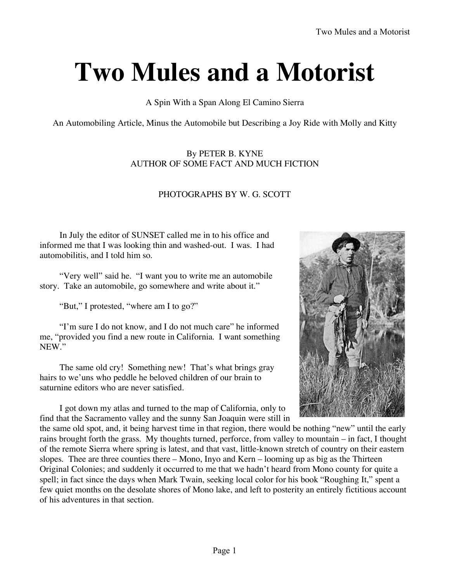## **Two Mules and a Motorist**

## A Spin With a Span Along El Camino Sierra

An Automobiling Article, Minus the Automobile but Describing a Joy Ride with Molly and Kitty

By PETER B. KYNE AUTHOR OF SOME FACT AND MUCH FICTION

## PHOTOGRAPHS BY W. G. SCOTT

In July the editor of SUNSET called me in to his office and informed me that I was looking thin and washed-out. I was. I had automobilitis, and I told him so.

"Very well" said he. "I want you to write me an automobile story. Take an automobile, go somewhere and write about it."

"But," I protested, "where am I to go?"

"I'm sure I do not know, and I do not much care" he informed me, "provided you find a new route in California. I want something NEW."

The same old cry! Something new! That's what brings gray hairs to we'uns who peddle he beloved children of our brain to saturnine editors who are never satisfied.

I got down my atlas and turned to the map of California, only to find that the Sacramento valley and the sunny San Joaquin were still in



the same old spot, and, it being harvest time in that region, there would be nothing "new" until the early rains brought forth the grass. My thoughts turned, perforce, from valley to mountain – in fact, I thought of the remote Sierra where spring is latest, and that vast, little-known stretch of country on their eastern slopes. Thee are three counties there – Mono, Inyo and Kern – looming up as big as the Thirteen Original Colonies; and suddenly it occurred to me that we hadn't heard from Mono county for quite a spell; in fact since the days when Mark Twain, seeking local color for his book "Roughing It," spent a few quiet months on the desolate shores of Mono lake, and left to posterity an entirely fictitious account of his adventures in that section.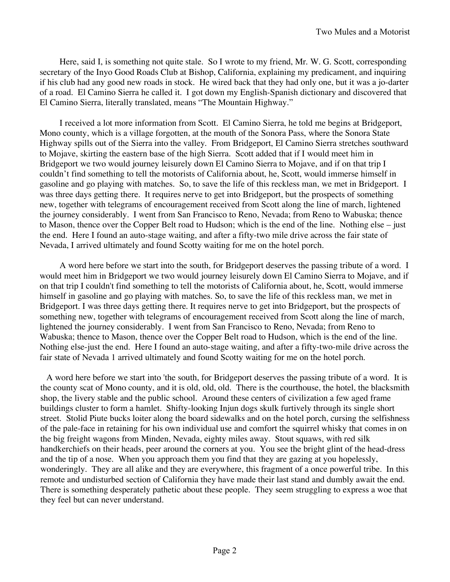Here, said I, is something not quite stale. So I wrote to my friend, Mr. W. G. Scott, corresponding secretary of the Inyo Good Roads Club at Bishop, California, explaining my predicament, and inquiring if his club had any good new roads in stock. He wired back that they had only one, but it was a jo-darter of a road. El Camino Sierra he called it. I got down my English-Spanish dictionary and discovered that El Camino Sierra, literally translated, means "The Mountain Highway."

I received a lot more information from Scott. El Camino Sierra, he told me begins at Bridgeport, Mono county, which is a village forgotten, at the mouth of the Sonora Pass, where the Sonora State Highway spills out of the Sierra into the valley. From Bridgeport, El Camino Sierra stretches southward to Mojave, skirting the eastern base of the high Sierra. Scott added that if I would meet him in Bridgeport we two would journey leisurely down El Camino Sierra to Mojave, and if on that trip I couldn't find something to tell the motorists of California about, he, Scott, would immerse himself in gasoline and go playing with matches. So, to save the life of this reckless man, we met in Bridgeport. I was three days getting there. It requires nerve to get into Bridgeport, but the prospects of something new, together with telegrams of encouragement received from Scott along the line of march, lightened the journey considerably. I went from San Francisco to Reno, Nevada; from Reno to Wabuska; thence to Mason, thence over the Copper Belt road to Hudson; which is the end of the line. Nothing else – just the end. Here I found an auto-stage waiting, and after a fifty-two mile drive across the fair state of Nevada, I arrived ultimately and found Scotty waiting for me on the hotel porch.

A word here before we start into the south, for Bridgeport deserves the passing tribute of a word. I would meet him in Bridgeport we two would journey leisurely down El Camino Sierra to Mojave, and if on that trip I couldn't find something to tell the motorists of California about, he, Scott, would immerse himself in gasoline and go playing with matches. So, to save the life of this reckless man, we met in Bridgeport. I was three days getting there. It requires nerve to get into Bridgeport, but the prospects of something new, together with telegrams of encouragement received from Scott along the line of march, lightened the journey considerably. I went from San Francisco to Reno, Nevada; from Reno to Wabuska; thence to Mason, thence over the Copper Belt road to Hudson, which is the end of the line. Nothing else-just the end. Here I found an auto-stage waiting, and after a fifty-two-mile drive across the fair state of Nevada 1 arrived ultimately and found Scotty waiting for me on the hotel porch.

A word here before we start into 'the south, for Bridgeport deserves the passing tribute of a word. It is the county scat of Mono county, and it is old, old, old. There is the courthouse, the hotel, the blacksmith shop, the livery stable and the public school. Around these centers of civilization a few aged frame buildings cluster to form a hamlet. Shifty-looking Injun dogs skulk furtively through its single short street. Stolid Piute bucks loiter along the board sidewalks and on the hotel porch, cursing the selfishness of the pale-face in retaining for his own individual use and comfort the squirrel whisky that comes in on the big freight wagons from Minden, Nevada, eighty miles away. Stout squaws, with red silk handkerchiefs on their heads, peer around the corners at you. You see the bright glint of the head-dress and the tip of a nose. When you approach them you find that they are gazing at you hopelessly, wonderingly. They are all alike and they are everywhere, this fragment of a once powerful tribe. In this remote and undisturbed section of California they have made their last stand and dumbly await the end. There is something desperately pathetic about these people. They seem struggling to express a woe that they feel but can never understand.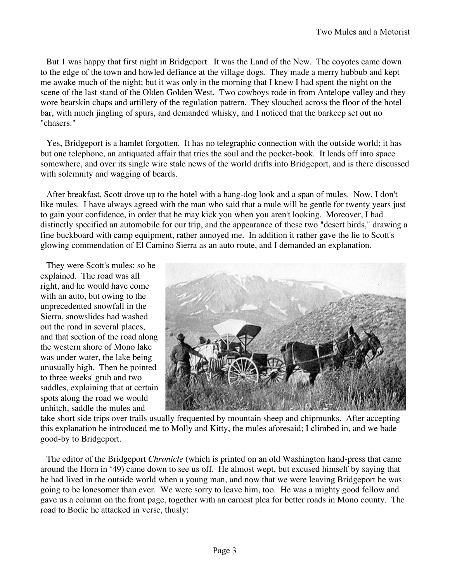But 1 was happy that first night in Bridgeport. It was the Land of the New. The coyotes came down to the edge of the town and howled defiance at the village dogs. They made a merry hubbub and kept me awake much of the night; but it was only in the morning that I knew I had spent the night on the scene of the last stand of the Olden Golden West. Two cowboys rode in from Antelope valley and they wore bearskin chaps and artillery of the regulation pattern. They slouched across the floor of the hotel bar, with much jingling of spurs, and demanded whisky, and I noticed that the barkeep set out no "chasers."

Yes, Bridgeport is a hamlet forgotten. It has no telegraphic connection with the outside world; it has but one telephone, an antiquated affair that tries the soul and the pocket-book. It leads off into space somewhere, and over its single wire stale news of the world drifts into Bridgeport, and is there discussed with solemnity and wagging of beards.

After breakfast, Scott drove up to the hotel with a hang-dog look and a span of mules. Now, I don't like mules. I have always agreed with the man who said that a mule will be gentle for twenty years just to gain your confidence, in order that he may kick you when you aren't looking. Moreover, I had distinctly specified an automobile for our trip, and the appearance of these two "desert birds," drawing a fine buckboard with camp equipment, rather annoyed me. In addition it rather gave the lie to Scott's glowing commendation of El Camino Sierra as an auto route, and I demanded an explanation.

They were Scott's mules; so he explained. The road was all right, and he would have come with an auto, but owing to the unprecedented snowfall in the Sierra, snowslides had washed out the road in several places, and that section of the road along the western shore of Mono lake was under water, the lake being unusually high. Then he pointed to three weeks' grub and two saddles, explaining that at certain spots along the road we would unhitch, saddle the mules and



take short side trips over trails usually frequented by mountain sheep and chipmunks. After accepting this explanation he introduced me to Molly and Kitty, the mules aforesaid; I climbed in, and we bade good-by to Bridgeport.

The editor of the Bridgeport *Chronicle* (which is printed on an old Washington hand-press that came around the Horn in '49) came down to see us off. He almost wept, but excused himself by saying that he had lived in the outside world when a young man, and now that we were leaving Bridgeport he was going to be lonesomer than ever. We were sorry to leave him, too. He was a mighty good fellow and gave us a column on the front page, together with an earnest plea for better roads in Mono county. The road to Bodie he attacked in verse, thusly: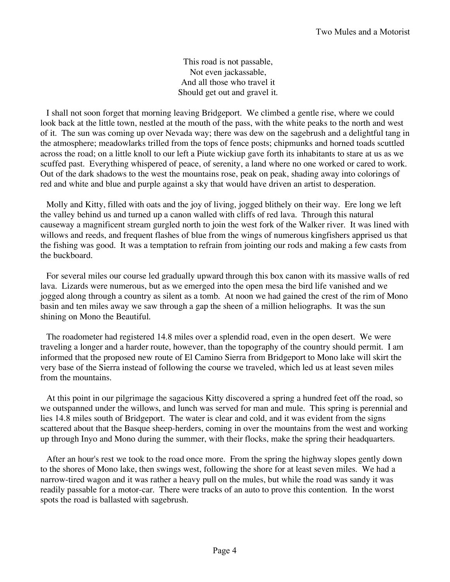This road is not passable, Not even jackassable, And all those who travel it Should get out and gravel it.

I shall not soon forget that morning leaving Bridgeport. We climbed a gentle rise, where we could look back at the little town, nestled at the mouth of the pass, with the white peaks to the north and west of it. The sun was coming up over Nevada way; there was dew on the sagebrush and a delightful tang in the atmosphere; meadowlarks trilled from the tops of fence posts; chipmunks and horned toads scuttled across the road; on a little knoll to our left a Piute wickiup gave forth its inhabitants to stare at us as we scuffed past. Everything whispered of peace, of serenity, a land where no one worked or cared to work. Out of the dark shadows to the west the mountains rose, peak on peak, shading away into colorings of red and white and blue and purple against a sky that would have driven an artist to desperation.

Molly and Kitty, filled with oats and the joy of living, jogged blithely on their way. Ere long we left the valley behind us and turned up a canon walled with cliffs of red lava. Through this natural causeway a magnificent stream gurgled north to join the west fork of the Walker river. It was lined with willows and reeds, and frequent flashes of blue from the wings of numerous kingfishers apprised us that the fishing was good. It was a temptation to refrain from jointing our rods and making a few casts from the buckboard.

For several miles our course led gradually upward through this box canon with its massive walls of red lava. Lizards were numerous, but as we emerged into the open mesa the bird life vanished and we jogged along through a country as silent as a tomb. At noon we had gained the crest of the rim of Mono basin and ten miles away we saw through a gap the sheen of a million heliographs. It was the sun shining on Mono the Beautiful.

The roadometer had registered 14.8 miles over a splendid road, even in the open desert. We were traveling a longer and a harder route, however, than the topography of the country should permit. I am informed that the proposed new route of El Camino Sierra from Bridgeport to Mono lake will skirt the very base of the Sierra instead of following the course we traveled, which led us at least seven miles from the mountains.

At this point in our pilgrimage the sagacious Kitty discovered a spring a hundred feet off the road, so we outspanned under the willows, and lunch was served for man and mule. This spring is perennial and lies 14.8 miles south of Bridgeport. The water is clear and cold, and it was evident from the signs scattered about that the Basque sheep-herders, coming in over the mountains from the west and working up through Inyo and Mono during the summer, with their flocks, make the spring their headquarters.

After an hour's rest we took to the road once more. From the spring the highway slopes gently down to the shores of Mono lake, then swings west, following the shore for at least seven miles. We had a narrow-tired wagon and it was rather a heavy pull on the mules, but while the road was sandy it was readily passable for a motor-car. There were tracks of an auto to prove this contention. In the worst spots the road is ballasted with sagebrush.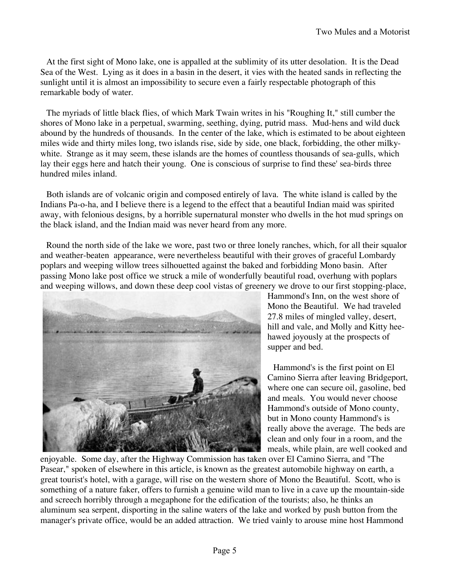At the first sight of Mono lake, one is appalled at the sublimity of its utter desolation. It is the Dead Sea of the West. Lying as it does in a basin in the desert, it vies with the heated sands in reflecting the sunlight until it is almost an impossibility to secure even a fairly respectable photograph of this remarkable body of water.

The myriads of little black flies, of which Mark Twain writes in his "Roughing It," still cumber the shores of Mono lake in a perpetual, swarming, seething, dying, putrid mass. Mud-hens and wild duck abound by the hundreds of thousands. In the center of the lake, which is estimated to be about eighteen miles wide and thirty miles long, two islands rise, side by side, one black, forbidding, the other milkywhite. Strange as it may seem, these islands are the homes of countless thousands of sea-gulls, which lay their eggs here and hatch their young. One is conscious of surprise to find these' sea-birds three hundred miles inland.

Both islands are of volcanic origin and composed entirely of lava. The white island is called by the Indians Pa-o-ha, and I believe there is a legend to the effect that a beautiful Indian maid was spirited away, with felonious designs, by a horrible supernatural monster who dwells in the hot mud springs on the black island, and the Indian maid was never heard from any more.

Round the north side of the lake we wore, past two or three lonely ranches, which, for all their squalor and weather-beaten appearance, were nevertheless beautiful with their groves of graceful Lombardy poplars and weeping willow trees silhouetted against the baked and forbidding Mono basin. After passing Mono lake post office we struck a mile of wonderfully beautiful road, overhung with poplars and weeping willows, and down these deep cool vistas of greenery we drove to our first stopping-place,



Hammond's Inn, on the west shore of Mono the Beautiful. We had traveled 27.8 miles of mingled valley, desert, hill and vale, and Molly and Kitty heehawed joyously at the prospects of supper and bed.

Hammond's is the first point on El Camino Sierra after leaving Bridgeport, where one can secure oil, gasoline, bed and meals. You would never choose Hammond's outside of Mono county, but in Mono county Hammond's is really above the average. The beds are clean and only four in a room, and the meals, while plain, are well cooked and

enjoyable. Some day, after the Highway Commission has taken over El Camino Sierra, and "The Pasear," spoken of elsewhere in this article, is known as the greatest automobile highway on earth, a great tourist's hotel, with a garage, will rise on the western shore of Mono the Beautiful. Scott, who is something of a nature faker, offers to furnish a genuine wild man to live in a cave up the mountain-side and screech horribly through a megaphone for the edification of the tourists; also, he thinks an aluminum sea serpent, disporting in the saline waters of the lake and worked by push button from the manager's private office, would be an added attraction. We tried vainly to arouse mine host Hammond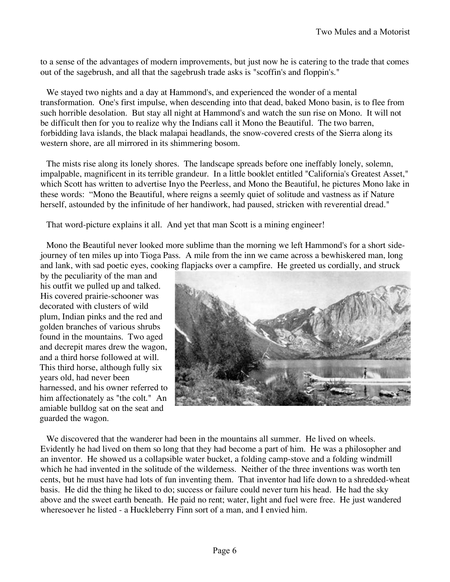to a sense of the advantages of modern improvements, but just now he is catering to the trade that comes out of the sagebrush, and all that the sagebrush trade asks is "scoffin's and floppin's."

We stayed two nights and a day at Hammond's, and experienced the wonder of a mental transformation. One's first impulse, when descending into that dead, baked Mono basin, is to flee from such horrible desolation. But stay all night at Hammond's and watch the sun rise on Mono. It will not be difficult then for you to realize why the Indians call it Mono the Beautiful. The two barren, forbidding lava islands, the black malapai headlands, the snow-covered crests of the Sierra along its western shore, are all mirrored in its shimmering bosom.

The mists rise along its lonely shores. The landscape spreads before one ineffably lonely, solemn, impalpable, magnificent in its terrible grandeur. In a little booklet entitled "California's Greatest Asset," which Scott has written to advertise Inyo the Peerless, and Mono the Beautiful, he pictures Mono lake in these words: "Mono the Beautiful, where reigns a seemly quiet of solitude and vastness as if Nature herself, astounded by the infinitude of her handiwork, had paused, stricken with reverential dread."

That word-picture explains it all. And yet that man Scott is a mining engineer!

Mono the Beautiful never looked more sublime than the morning we left Hammond's for a short sidejourney of ten miles up into Tioga Pass. A mile from the inn we came across a bewhiskered man, long and lank, with sad poetic eyes, cooking flapjacks over a campfire. He greeted us cordially, and struck

by the peculiarity of the man and his outfit we pulled up and talked. His covered prairie-schooner was decorated with clusters of wild plum, Indian pinks and the red and golden branches of various shrubs found in the mountains. Two aged and decrepit mares drew the wagon, and a third horse followed at will. This third horse, although fully six years old, had never been harnessed, and his owner referred to him affectionately as "the colt." An amiable bulldog sat on the seat and guarded the wagon.



We discovered that the wanderer had been in the mountains all summer. He lived on wheels. Evidently he had lived on them so long that they had become a part of him. He was a philosopher and an inventor. He showed us a collapsible water bucket, a folding camp-stove and a folding windmill which he had invented in the solitude of the wilderness. Neither of the three inventions was worth ten cents, but he must have had lots of fun inventing them. That inventor had life down to a shredded-wheat basis. He did the thing he liked to do; success or failure could never turn his head. He had the sky above and the sweet earth beneath. He paid no rent; water, light and fuel were free. He just wandered wheresoever he listed - a Huckleberry Finn sort of a man, and I envied him.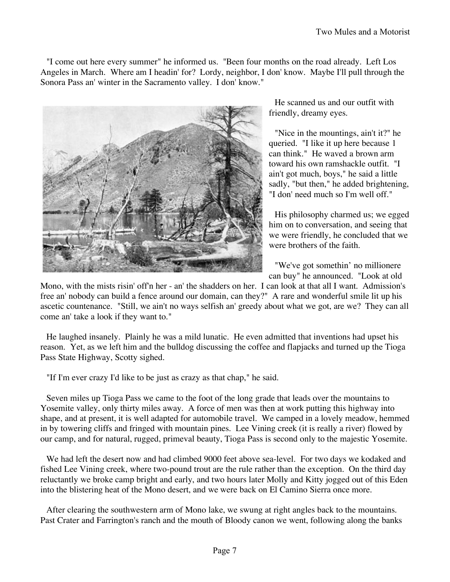"I come out here every summer" he informed us. "Been four months on the road already. Left Los Angeles in March. Where am I headin' for? Lordy, neighbor, I don' know. Maybe I'll pull through the Sonora Pass an' winter in the Sacramento valley. I don' know."



He scanned us and our outfit with friendly, dreamy eyes.

"Nice in the mountings, ain't it?" he queried. "I like it up here because 1 can think." He waved a brown arm toward his own ramshackle outfit. "I ain't got much, boys," he said a little sadly, "but then," he added brightening, "I don' need much so I'm well off."

His philosophy charmed us; we egged him on to conversation, and seeing that we were friendly, he concluded that we were brothers of the faith.

"We've got somethin' no millionere can buy" he announced. "Look at old

Mono, with the mists risin' off'n her - an' the shadders on her. I can look at that all I want. Admission's free an' nobody can build a fence around our domain, can they?" A rare and wonderful smile lit up his ascetic countenance. "Still, we ain't no ways selfish an' greedy about what we got, are we? They can all come an' take a look if they want to."

He laughed insanely. Plainly he was a mild lunatic. He even admitted that inventions had upset his reason. Yet, as we left him and the bulldog discussing the coffee and flapjacks and turned up the Tioga Pass State Highway, Scotty sighed.

"If I'm ever crazy I'd like to be just as crazy as that chap," he said.

Seven miles up Tioga Pass we came to the foot of the long grade that leads over the mountains to Yosemite valley, only thirty miles away. A force of men was then at work putting this highway into shape, and at present, it is well adapted for automobile travel. We camped in a lovely meadow, hemmed in by towering cliffs and fringed with mountain pines. Lee Vining creek (it is really a river) flowed by our camp, and for natural, rugged, primeval beauty, Tioga Pass is second only to the majestic Yosemite.

We had left the desert now and had climbed 9000 feet above sea-level. For two days we kodaked and fished Lee Vining creek, where two-pound trout are the rule rather than the exception. On the third day reluctantly we broke camp bright and early, and two hours later Molly and Kitty jogged out of this Eden into the blistering heat of the Mono desert, and we were back on El Camino Sierra once more.

After clearing the southwestern arm of Mono lake, we swung at right angles back to the mountains. Past Crater and Farrington's ranch and the mouth of Bloody canon we went, following along the banks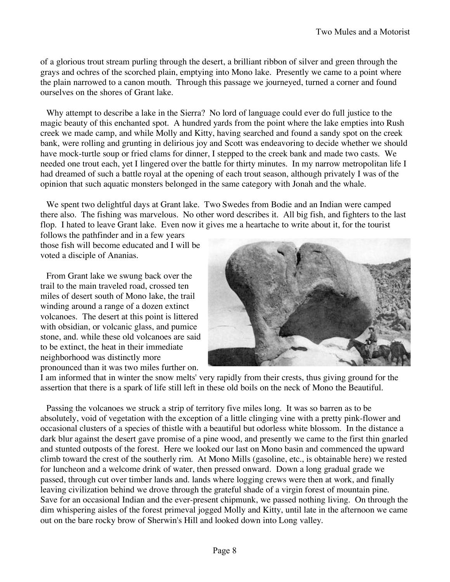of a glorious trout stream purling through the desert, a brilliant ribbon of silver and green through the grays and ochres of the scorched plain, emptying into Mono lake. Presently we came to a point where the plain narrowed to a canon mouth. Through this passage we journeyed, turned a corner and found ourselves on the shores of Grant lake.

Why attempt to describe a lake in the Sierra? No lord of language could ever do full justice to the magic beauty of this enchanted spot. A hundred yards from the point where the lake empties into Rush creek we made camp, and while Molly and Kitty, having searched and found a sandy spot on the creek bank, were rolling and grunting in delirious joy and Scott was endeavoring to decide whether we should have mock-turtle soup or fried clams for dinner, I stepped to the creek bank and made two casts. We needed one trout each, yet I lingered over the battle for thirty minutes. In my narrow metropolitan life I had dreamed of such a battle royal at the opening of each trout season, although privately I was of the opinion that such aquatic monsters belonged in the same category with Jonah and the whale.

We spent two delightful days at Grant lake. Two Swedes from Bodie and an Indian were camped there also. The fishing was marvelous. No other word describes it. All big fish, and fighters to the last flop. I hated to leave Grant lake. Even now it gives me a heartache to write about it, for the tourist

follows the pathfinder and in a few years those fish will become educated and I will be voted a disciple of Ananias.

From Grant lake we swung back over the trail to the main traveled road, crossed ten miles of desert south of Mono lake, the trail winding around a range of a dozen extinct volcanoes. The desert at this point is littered with obsidian, or volcanic glass, and pumice stone, and. while these old volcanoes are said to be extinct, the heat in their immediate neighborhood was distinctly more pronounced than it was two miles further on.



I am informed that in winter the snow melts' very rapidly from their crests, thus giving ground for the assertion that there is a spark of life still left in these old boils on the neck of Mono the Beautiful.

Passing the volcanoes we struck a strip of territory five miles long. It was so barren as to be absolutely, void of vegetation with the exception of a little clinging vine with a pretty pink-flower and occasional clusters of a species of thistle with a beautiful but odorless white blossom. In the distance a dark blur against the desert gave promise of a pine wood, and presently we came to the first thin gnarled and stunted outposts of the forest. Here we looked our last on Mono basin and commenced the upward climb toward the crest of the southerly rim. At Mono Mills (gasoline, etc., is obtainable here) we rested for luncheon and a welcome drink of water, then pressed onward. Down a long gradual grade we passed, through cut over timber lands and. lands where logging crews were then at work, and finally leaving civilization behind we drove through the grateful shade of a virgin forest of mountain pine. Save for an occasional Indian and the ever-present chipmunk, we passed nothing living. On through the dim whispering aisles of the forest primeval jogged Molly and Kitty, until late in the afternoon we came out on the bare rocky brow of Sherwin's Hill and looked down into Long valley.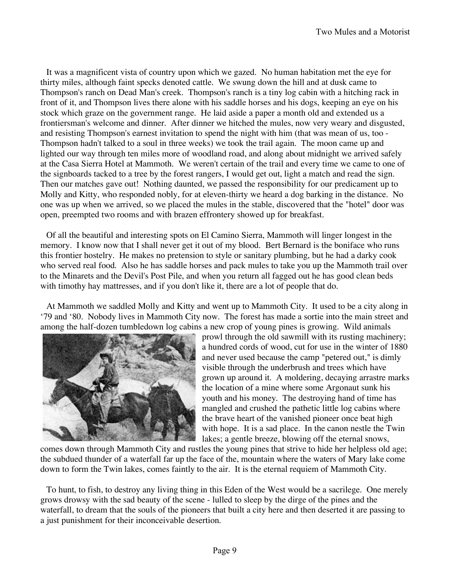It was a magnificent vista of country upon which we gazed. No human habitation met the eye for thirty miles, although faint specks denoted cattle. We swung down the hill and at dusk came to Thompson's ranch on Dead Man's creek. Thompson's ranch is a tiny log cabin with a hitching rack in front of it, and Thompson lives there alone with his saddle horses and his dogs, keeping an eye on his stock which graze on the government range. He laid aside a paper a month old and extended us a frontiersman's welcome and dinner. After dinner we hitched the mules, now very weary and disgusted, and resisting Thompson's earnest invitation to spend the night with him (that was mean of us, too - Thompson hadn't talked to a soul in three weeks) we took the trail again. The moon came up and lighted our way through ten miles more of woodland road, and along about midnight we arrived safely at the Casa Sierra Hotel at Mammoth. We weren't certain of the trail and every time we came to one of the signboards tacked to a tree by the forest rangers, I would get out, light a match and read the sign. Then our matches gave out! Nothing daunted, we passed the responsibility for our predicament up to Molly and Kitty, who responded nobly, for at eleven-thirty we heard a dog barking in the distance. No one was up when we arrived, so we placed the mules in the stable, discovered that the "hotel" door was open, preempted two rooms and with brazen effrontery showed up for breakfast.

Of all the beautiful and interesting spots on El Camino Sierra, Mammoth will linger longest in the memory. I know now that I shall never get it out of my blood. Bert Bernard is the boniface who runs this frontier hostelry. He makes no pretension to style or sanitary plumbing, but he had a darky cook who served real food. Also he has saddle horses and pack mules to take you up the Mammoth trail over to the Minarets and the Devil's Post Pile, and when you return all fagged out he has good clean beds with timothy hay mattresses, and if you don't like it, there are a lot of people that do.

At Mammoth we saddled Molly and Kitty and went up to Mammoth City. It used to be a city along in '79 and '80. Nobody lives in Mammoth City now. The forest has made a sortie into the main street and among the half-dozen tumbledown log cabins a new crop of young pines is growing. Wild animals



prowl through the old sawmill with its rusting machinery; a hundred cords of wood, cut for use in the winter of 1880 and never used because the camp "petered out," is dimly visible through the underbrush and trees which have grown up around it. A moldering, decaying arrastre marks the location of a mine where some Argonaut sunk his youth and his money. The destroying hand of time has mangled and crushed the pathetic little log cabins where the brave heart of the vanished pioneer once beat high with hope. It is a sad place. In the canon nestle the Twin lakes; a gentle breeze, blowing off the eternal snows,

comes down through Mammoth City and rustles the young pines that strive to hide her helpless old age; the subdued thunder of a waterfall far up the face of the, mountain where the waters of Mary lake come down to form the Twin lakes, comes faintly to the air. It is the eternal requiem of Mammoth City.

To hunt, to fish, to destroy any living thing in this Eden of the West would be a sacrilege. One merely grows drowsy with the sad beauty of the scene - lulled to sleep by the dirge of the pines and the waterfall, to dream that the souls of the pioneers that built a city here and then deserted it are passing to a just punishment for their inconceivable desertion.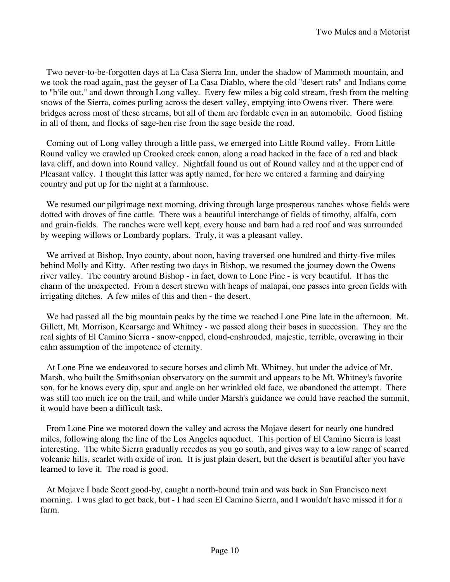Two never-to-be-forgotten days at La Casa Sierra Inn, under the shadow of Mammoth mountain, and we took the road again, past the geyser of La Casa Diablo, where the old "desert rats" and Indians come to "b'ile out," and down through Long valley. Every few miles a big cold stream, fresh from the melting snows of the Sierra, comes purling across the desert valley, emptying into Owens river. There were bridges across most of these streams, but all of them are fordable even in an automobile. Good fishing in all of them, and flocks of sage-hen rise from the sage beside the road.

Coming out of Long valley through a little pass, we emerged into Little Round valley. From Little Round valley we crawled up Crooked creek canon, along a road hacked in the face of a red and black lava cliff, and down into Round valley. Nightfall found us out of Round valley and at the upper end of Pleasant valley. I thought this latter was aptly named, for here we entered a farming and dairying country and put up for the night at a farmhouse.

We resumed our pilgrimage next morning, driving through large prosperous ranches whose fields were dotted with droves of fine cattle. There was a beautiful interchange of fields of timothy, alfalfa, corn and grain-fields. The ranches were well kept, every house and barn had a red roof and was surrounded by weeping willows or Lombardy poplars. Truly, it was a pleasant valley.

We arrived at Bishop, Inyo county, about noon, having traversed one hundred and thirty-five miles behind Molly and Kitty. After resting two days in Bishop, we resumed the journey down the Owens river valley. The country around Bishop - in fact, down to Lone Pine - is very beautiful. It has the charm of the unexpected. From a desert strewn with heaps of malapai, one passes into green fields with irrigating ditches. A few miles of this and then - the desert.

We had passed all the big mountain peaks by the time we reached Lone Pine late in the afternoon. Mt. Gillett, Mt. Morrison, Kearsarge and Whitney - we passed along their bases in succession. They are the real sights of El Camino Sierra - snow-capped, cloud-enshrouded, majestic, terrible, overawing in their calm assumption of the impotence of eternity.

At Lone Pine we endeavored to secure horses and climb Mt. Whitney, but under the advice of Mr. Marsh, who built the Smithsonian observatory on the summit and appears to be Mt. Whitney's favorite son, for he knows every dip, spur and angle on her wrinkled old face, we abandoned the attempt. There was still too much ice on the trail, and while under Marsh's guidance we could have reached the summit, it would have been a difficult task.

From Lone Pine we motored down the valley and across the Mojave desert for nearly one hundred miles, following along the line of the Los Angeles aqueduct. This portion of El Camino Sierra is least interesting. The white Sierra gradually recedes as you go south, and gives way to a low range of scarred volcanic hills, scarlet with oxide of iron. It is just plain desert, but the desert is beautiful after you have learned to love it. The road is good.

At Mojave I bade Scott good-by, caught a north-bound train and was back in San Francisco next morning. I was glad to get back, but - I had seen El Camino Sierra, and I wouldn't have missed it for a farm.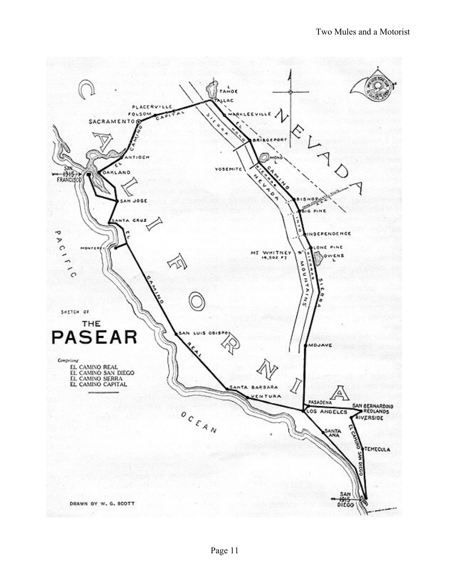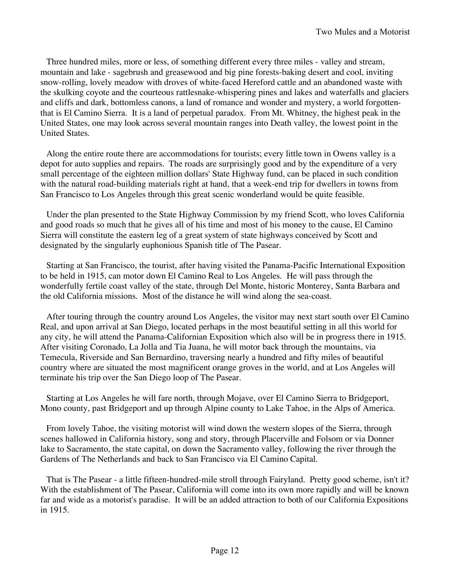Three hundred miles, more or less, of something different every three miles - valley and stream, mountain and lake - sagebrush and greasewood and big pine forests-baking desert and cool, inviting snow-rolling, lovely meadow with droves of white-faced Hereford cattle and an abandoned waste with the skulking coyote and the courteous rattlesnake-whispering pines and lakes and waterfalls and glaciers and cliffs and dark, bottomless canons, a land of romance and wonder and mystery, a world forgottenthat is El Camino Sierra. It is a land of perpetual paradox. From Mt. Whitney, the highest peak in the United States, one may look across several mountain ranges into Death valley, the lowest point in the United States.

Along the entire route there are accommodations for tourists; every little town in Owens valley is a depot for auto supplies and repairs. The roads are surprisingly good and by the expenditure of a very small percentage of the eighteen million dollars' State Highway fund, can be placed in such condition with the natural road-building materials right at hand, that a week-end trip for dwellers in towns from San Francisco to Los Angeles through this great scenic wonderland would be quite feasible.

Under the plan presented to the State Highway Commission by my friend Scott, who loves California and good roads so much that he gives all of his time and most of his money to the cause, El Camino Sierra will constitute the eastern leg of a great system of state highways conceived by Scott and designated by the singularly euphonious Spanish title of The Pasear.

Starting at San Francisco, the tourist, after having visited the Panama-Pacific International Exposition to be held in 1915, can motor down El Camino Real to Los Angeles. He will pass through the wonderfully fertile coast valley of the state, through Del Monte, historic Monterey, Santa Barbara and the old California missions. Most of the distance he will wind along the sea-coast.

After touring through the country around Los Angeles, the visitor may next start south over El Camino Real, and upon arrival at San Diego, located perhaps in the most beautiful setting in all this world for any city, he will attend the Panama-Californian Exposition which also will be in progress there in 1915. After visiting Coronado, La Jolla and Tia Juana, he will motor back through the mountains, via Temecula, Riverside and San Bernardino, traversing nearly a hundred and fifty miles of beautiful country where are situated the most magnificent orange groves in the world, and at Los Angeles will terminate his trip over the San Diego loop of The Pasear.

Starting at Los Angeles he will fare north, through Mojave, over El Camino Sierra to Bridgeport, Mono county, past Bridgeport and up through Alpine county to Lake Tahoe, in the Alps of America.

From lovely Tahoe, the visiting motorist will wind down the western slopes of the Sierra, through scenes hallowed in California history, song and story, through Placerville and Folsom or via Donner lake to Sacramento, the state capital, on down the Sacramento valley, following the river through the Gardens of The Netherlands and back to San Francisco via El Camino Capital.

That is The Pasear - a little fifteen-hundred-mile stroll through Fairyland. Pretty good scheme, isn't it? With the establishment of The Pasear, California will come into its own more rapidly and will be known far and wide as a motorist's paradise. It will be an added attraction to both of our California Expositions in 1915.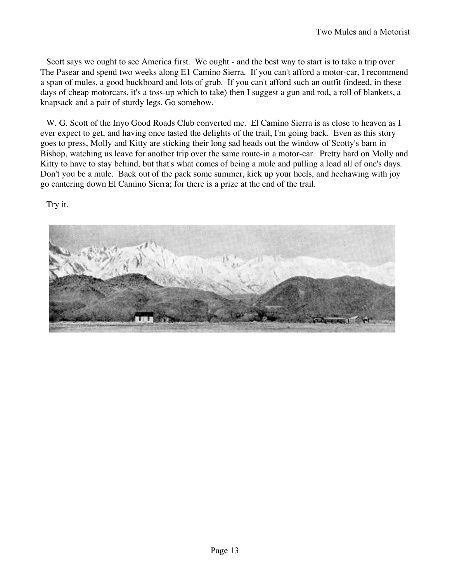Scott says we ought to see America first. We ought - and the best way to start is to take a trip over The Pasear and spend two weeks along E1 Camino Sierra. If you can't afford a motor-car, I recommend a span of mules, a good buckboard and lots of grub. If you can't afford such an outfit (indeed, in these days of cheap motorcars, it's a toss-up which to take) then I suggest a gun and rod, a roll of blankets, a knapsack and a pair of sturdy legs. Go somehow.

W. G. Scott of the Inyo Good Roads Club converted me. El Camino Sierra is as close to heaven as I ever expect to get, and having once tasted the delights of the trail, I'm going back. Even as this story goes to press, Molly and Kitty are sticking their long sad heads out the window of Scotty's barn in Bishop, watching us leave for another trip over the same route-in a motor-car. Pretty hard on Molly and Kitty to have to stay behind, but that's what comes of being a mule and pulling a load all of one's days. Don't you be a mule. Back out of the pack some summer, kick up your heels, and heehawing with joy go cantering down El Camino Sierra; for there is a prize at the end of the trail.

Try it.